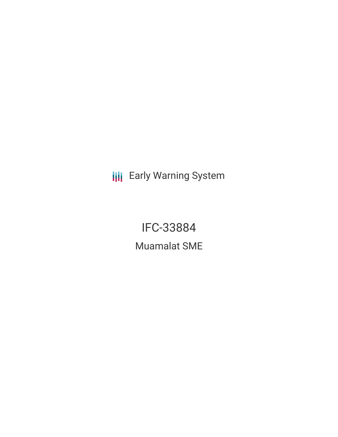**III** Early Warning System

IFC-33884 Muamalat SME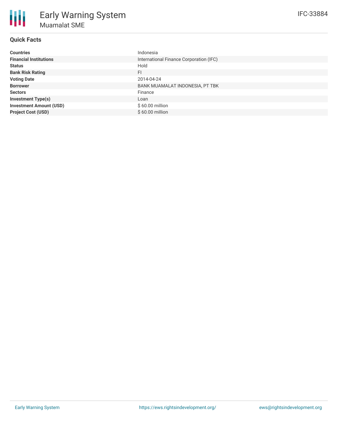| <b>Countries</b>               | Indonesia                               |
|--------------------------------|-----------------------------------------|
| <b>Financial Institutions</b>  | International Finance Corporation (IFC) |
| <b>Status</b>                  | Hold                                    |
| <b>Bank Risk Rating</b>        | FI                                      |
| <b>Voting Date</b>             | 2014-04-24                              |
| <b>Borrower</b>                | BANK MUAMALAT INDONESIA, PT TBK         |
| <b>Sectors</b>                 | Finance                                 |
| <b>Investment Type(s)</b>      | Loan                                    |
| <b>Investment Amount (USD)</b> | $$60.00$ million                        |
| <b>Project Cost (USD)</b>      | $$60.00$ million                        |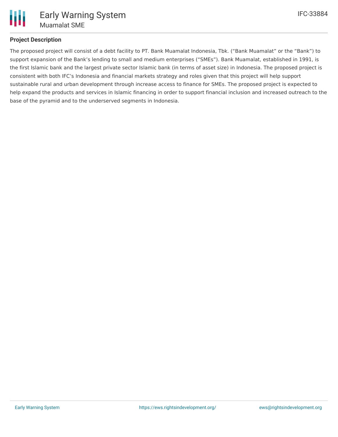

## **Project Description**

The proposed project will consist of a debt facility to PT. Bank Muamalat Indonesia, Tbk. ("Bank Muamalat" or the "Bank") to support expansion of the Bank's lending to small and medium enterprises ("SMEs"). Bank Muamalat, established in 1991, is the first Islamic bank and the largest private sector Islamic bank (in terms of asset size) in Indonesia. The proposed project is consistent with both IFC's Indonesia and financial markets strategy and roles given that this project will help support sustainable rural and urban development through increase access to finance for SMEs. The proposed project is expected to help expand the products and services in Islamic financing in order to support financial inclusion and increased outreach to the base of the pyramid and to the underserved segments in Indonesia.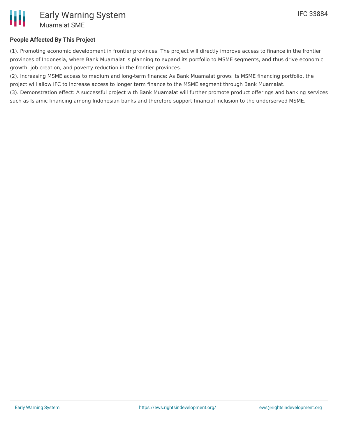

## **People Affected By This Project**

(1). Promoting economic development in frontier provinces: The project will directly improve access to finance in the frontier provinces of Indonesia, where Bank Muamalat is planning to expand its portfolio to MSME segments, and thus drive economic growth, job creation, and poverty reduction in the frontier provinces.

(2). Increasing MSME access to medium and long-term finance: As Bank Muamalat grows its MSME financing portfolio, the project will allow IFC to increase access to longer term finance to the MSME segment through Bank Muamalat.

(3). Demonstration effect: A successful project with Bank Muamalat will further promote product offerings and banking services such as Islamic financing among Indonesian banks and therefore support financial inclusion to the underserved MSME.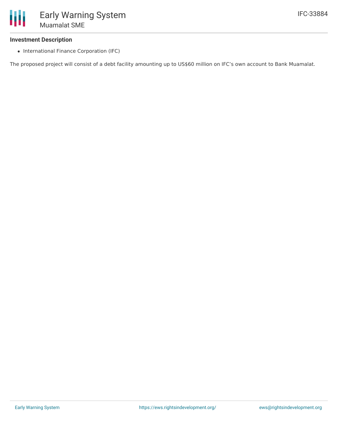#### **Investment Description**

• International Finance Corporation (IFC)

The proposed project will consist of a debt facility amounting up to US\$60 million on IFC's own account to Bank Muamalat.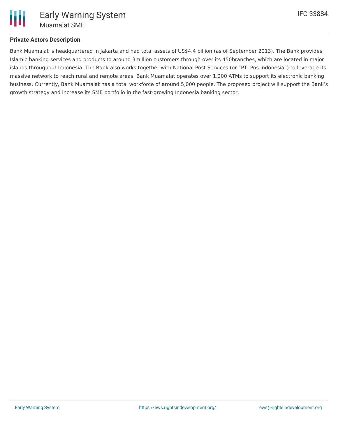

### **Private Actors Description**

Bank Muamalat is headquartered in Jakarta and had total assets of US\$4.4 billion (as of September 2013). The Bank provides Islamic banking services and products to around 3million customers through over its 450branches, which are located in major islands throughout Indonesia. The Bank also works together with National Post Services (or "PT. Pos Indonesia") to leverage its massive network to reach rural and remote areas. Bank Muamalat operates over 1,200 ATMs to support its electronic banking business. Currently, Bank Muamalat has a total workforce of around 5,000 people. The proposed project will support the Bank's growth strategy and increase its SME portfolio in the fast-growing Indonesia banking sector.